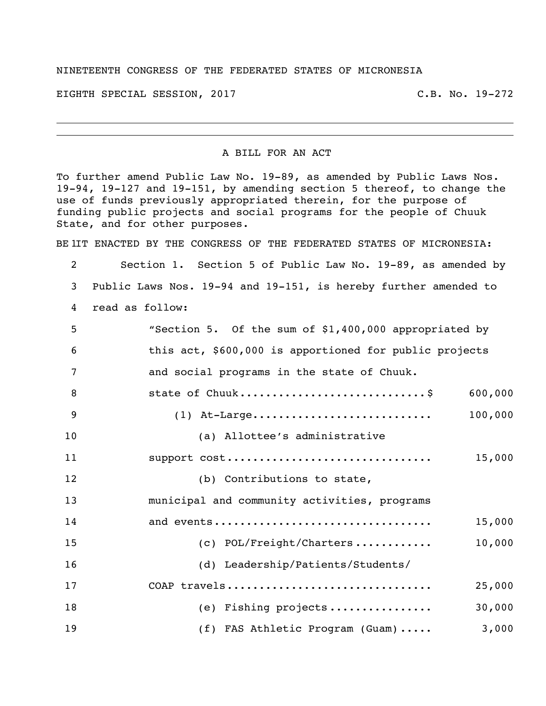## NINETEENTH CONGRESS OF THE FEDERATED STATES OF MICRONESIA

EIGHTH SPECIAL SESSION, 2017 C.B. No. 19-272

## A BILL FOR AN ACT

To further amend Public Law No. 19-89, as amended by Public Laws Nos. 19-94, 19-127 and 19-151, by amending section 5 thereof, to change the use of funds previously appropriated therein, for the purpose of funding public projects and social programs for the people of Chuuk State, and for other purposes.

BE IIT ENACTED BY THE CONGRESS OF THE FEDERATED STATES OF MICRONESIA:

 Section 1. Section 5 of Public Law No. 19-89, as amended by Public Laws Nos. 19-94 and 19-151, is hereby further amended to read as follow: "Section 5. Of the sum of \$1,400,000 appropriated by this act, \$600,000 is apportioned for public projects and social programs in the state of Chuuk. 8 state of Chuuk.................................\$ 600,000 (1) At-Large............................ 100,000 (a) Allottee's administrative support cost................................ 15,000 12 (b) Contributions to state, municipal and community activities, programs and events.................................. 15,000 (c) POL/Freight/Charters ............ 10,000 (d) Leadership/Patients/Students/ COAP travels................................ 25,000 (e) Fishing projects ................ 30,000 19 (f) FAS Athletic Program (Guam)..... 3,000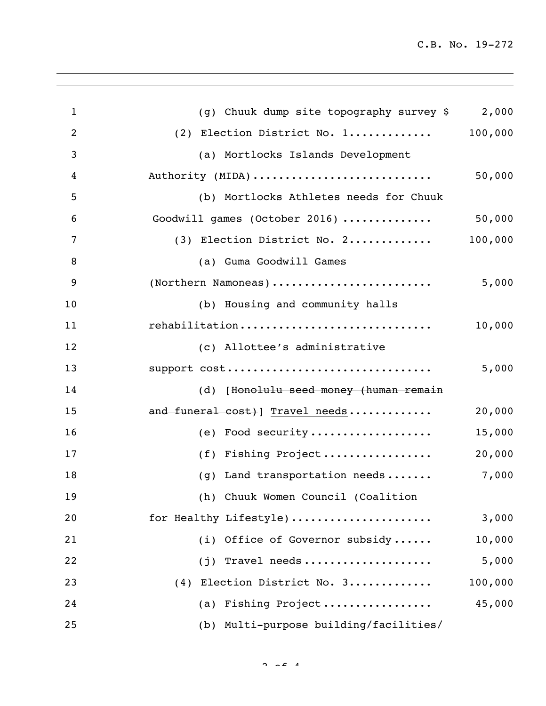C.B. No. 19-272

| $\mathbf{1}$   | (g) Chuuk dump site topography survey \$<br>2,000 |
|----------------|---------------------------------------------------|
| $\overline{2}$ | 100,000<br>(2) Election District No. 1            |
| 3              | (a) Mortlocks Islands Development                 |
| 4              | Authority (MIDA)<br>50,000                        |
| 5              | (b) Mortlocks Athletes needs for Chuuk            |
| 6              | 50,000<br>Goodwill games (October 2016)           |
| 7              | 100,000<br>(3) Election District No. 2            |
| 8              | (a) Guma Goodwill Games                           |
| 9              | (Northern Namoneas)<br>5,000                      |
| 10             | (b) Housing and community halls                   |
| 11             | rehabilitation<br>10,000                          |
| 12             | (c) Allottee's administrative                     |
| 13             | support cost<br>5,000                             |
| 14             | (d) [Honolulu seed money (human remain            |
| 15             | and funeral cost) Travel needs<br>20,000          |
| 16             | (e) Food security<br>15,000                       |
| 17             | 20,000<br>(f) Fishing Project                     |
| 18             | 7,000<br>(g) Land transportation needs            |
| 19             | (h) Chuuk Women Council (Coalition                |
| 20             | for Healthy Lifestyle)<br>3,000                   |
| 21             | (i) Office of Governor subsidy<br>10,000          |
| 22             | Travel needs<br>5,000<br>(j)                      |
| 23             | (4) Election District No. 3<br>100,000            |
| 24             | 45,000<br>(a) Fishing Project                     |
| 25             | (b) Multi-purpose building/facilities/            |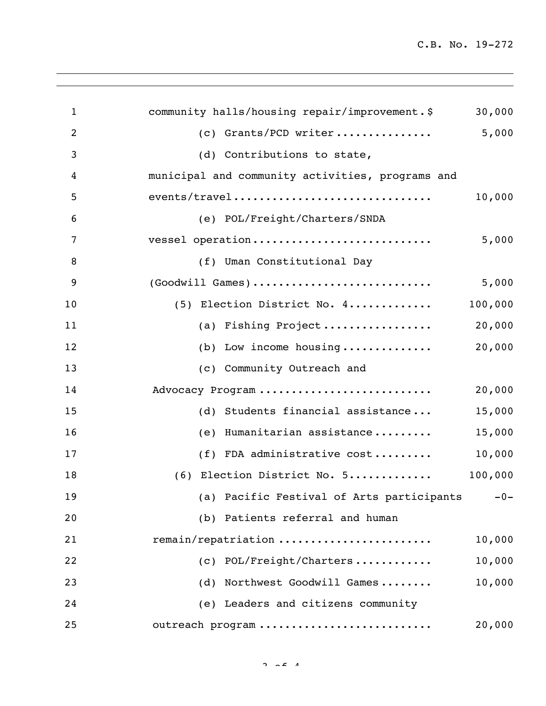C.B. No. 19-272

| $\mathbf{1}$   | community halls/housing repair/improvement.\$    | 30,000  |
|----------------|--------------------------------------------------|---------|
| $\overline{2}$ | (c) Grants/PCD writer                            | 5,000   |
| 3              | (d) Contributions to state,                      |         |
| 4              | municipal and community activities, programs and |         |
| 5              | events/travel                                    | 10,000  |
| 6              | (e) POL/Freight/Charters/SNDA                    |         |
| 7              | vessel operation                                 | 5,000   |
| 8              | (f) Uman Constitutional Day                      |         |
| 9              | (Goodwill Games)                                 | 5,000   |
| 10             | (5) Election District No. 4                      | 100,000 |
| 11             | (a) Fishing Project                              | 20,000  |
| 12             | (b) Low income housing                           | 20,000  |
| 13             | (c) Community Outreach and                       |         |
| 14             | Advocacy Program                                 | 20,000  |
| 15             | (d) Students financial assistance                | 15,000  |
| 16             | Humanitarian assistance<br>(e)                   | 15,000  |
| 17             | (f) FDA administrative cost                      | 10,000  |
| 18             | (6) Election District No. 5                      | 100,000 |
| 19             | (a) Pacific Festival of Arts participants -0-    |         |
| 20             | (b) Patients referral and human                  |         |
| 21             | remain/repatriation                              | 10,000  |
| 22             | (c) POL/Freight/Charters                         | 10,000  |
| 23             | (d) Northwest Goodwill Games                     | 10,000  |
| 24             | (e) Leaders and citizens community               |         |
| 25             | outreach program                                 | 20,000  |